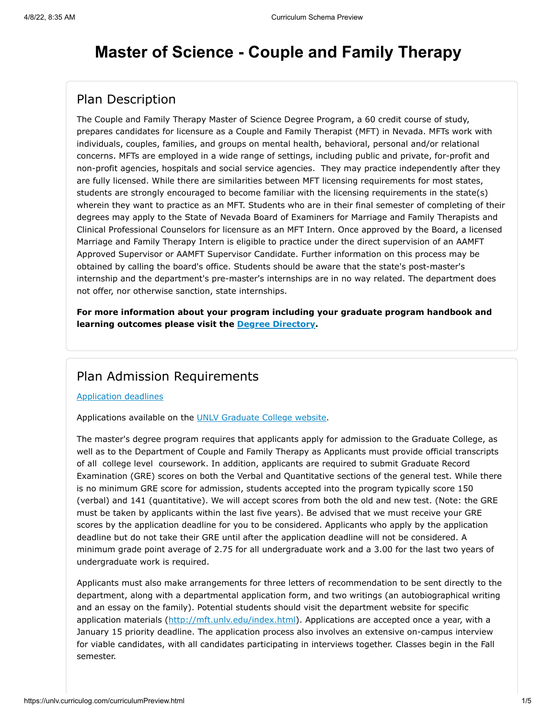# **Master of Science - Couple and Family Therapy**

### Plan Description

The Couple and Family Therapy Master of Science Degree Program, a 60 credit course of study, prepares candidates for licensure as a Couple and Family Therapist (MFT) in Nevada. MFTs work with individuals, couples, families, and groups on mental health, behavioral, personal and/or relational concerns. MFTs are employed in a wide range of settings, including public and private, for-profit and non-profit agencies, hospitals and social service agencies. They may practice independently after they are fully licensed. While there are similarities between MFT licensing requirements for most states, students are strongly encouraged to become familiar with the licensing requirements in the state(s) wherein they want to practice as an MFT. Students who are in their final semester of completing of their degrees may apply to the State of Nevada Board of Examiners for Marriage and Family Therapists and Clinical Professional Counselors for licensure as an MFT Intern. Once approved by the Board, a licensed Marriage and Family Therapy Intern is eligible to practice under the direct supervision of an AAMFT Approved Supervisor or AAMFT Supervisor Candidate. Further information on this process may be obtained by calling the board's office. Students should be aware that the state's post-master's internship and the department's pre-master's internships are in no way related. The department does not offer, nor otherwise sanction, state internships.

**For more information about your program including your graduate program handbook and learning outcomes please visit the [Degree Directory](http://www.unlv.edu/degree/ms-marriage-family-therapy).**

### Plan Admission Requirements

#### [Application deadlines](http://www.unlv.edu/graduatecollege/application-deadlines)

Applications available on the [UNLV Graduate College website.](http://graduatecollege.unlv.edu/admissions/)

The master's degree program requires that applicants apply for admission to the Graduate College, as well as to the Department of Couple and Family Therapy as Applicants must provide official transcripts of all college level coursework. In addition, applicants are required to submit Graduate Record Examination (GRE) scores on both the Verbal and Quantitative sections of the general test. While there is no minimum GRE score for admission, students accepted into the program typically score 150 (verbal) and 141 (quantitative). We will accept scores from both the old and new test. (Note: the GRE must be taken by applicants within the last five years). Be advised that we must receive your GRE scores by the application deadline for you to be considered. Applicants who apply by the application deadline but do not take their GRE until after the application deadline will not be considered. A minimum grade point average of 2.75 for all undergraduate work and a 3.00 for the last two years of undergraduate work is required.

Applicants must also make arrangements for three letters of recommendation to be sent directly to the department, along with a departmental application form, and two writings (an autobiographical writing and an essay on the family). Potential students should visit the department website for specific application materials ([http://mft.unlv.edu/index.html\)](http://mft.unlv.edu/index.html). Applications are accepted once a year, with a January 15 priority deadline. The application process also involves an extensive on-campus interview for viable candidates, with all candidates participating in interviews together. Classes begin in the Fall semester.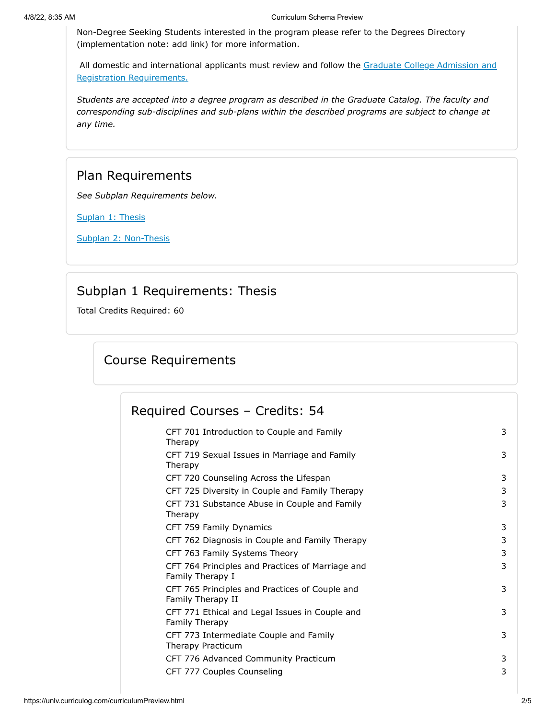Non-Degree Seeking Students interested in the program please refer to the Degrees Directory (implementation note: add link) for more information.

[All domestic and international applicants must review and follow the Graduate College Admission and](http://www.unlv.edu/graduatecollege/futurestudents) Registration Requirements.

*Students are accepted into a degree program as described in the Graduate Catalog. The faculty and corresponding sub-disciplines and sub-plans within the described programs are subject to change at any time.*

### Plan Requirements

*See Subplan Requirements below.*

[Suplan 1: Thesis](#page-1-0)

[Subplan 2: Non-Thesis](#page-3-0)

### Subplan 1 Requirements: Thesis

<span id="page-1-0"></span>Total Credits Required: 60

## Course Requirements

| Required Courses - Credits: 54                                       |   |
|----------------------------------------------------------------------|---|
| CFT 701 Introduction to Couple and Family<br>Therapy                 | 3 |
| CFT 719 Sexual Issues in Marriage and Family<br>Therapy              | 3 |
| CFT 720 Counseling Across the Lifespan                               | 3 |
| CFT 725 Diversity in Couple and Family Therapy                       | 3 |
| CFT 731 Substance Abuse in Couple and Family<br>Therapy              | 3 |
| CFT 759 Family Dynamics                                              | 3 |
| CFT 762 Diagnosis in Couple and Family Therapy                       | 3 |
| CFT 763 Family Systems Theory                                        | 3 |
| CFT 764 Principles and Practices of Marriage and<br>Family Therapy I | 3 |
| CFT 765 Principles and Practices of Couple and<br>Family Therapy II  | 3 |
| CFT 771 Ethical and Legal Issues in Couple and<br>Family Therapy     | 3 |
| CFT 773 Intermediate Couple and Family<br>Therapy Practicum          | 3 |
| CFT 776 Advanced Community Practicum                                 | 3 |
| CFT 777 Couples Counseling                                           | 3 |
|                                                                      |   |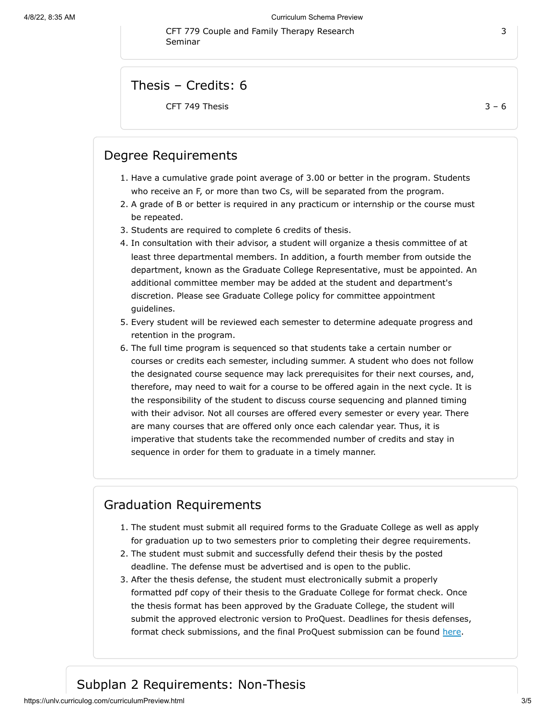CFT 779 Couple and Family Therapy Research Seminar

Thesis – Credits: 6

CFT 749 Thesis  $3 - 6$ 

### Degree Requirements

- 1. Have a cumulative grade point average of 3.00 or better in the program. Students who receive an F, or more than two Cs, will be separated from the program.
- 2. A grade of B or better is required in any practicum or internship or the course must be repeated.
- 3. Students are required to complete 6 credits of thesis.
- 4. In consultation with their advisor, a student will organize a thesis committee of at least three departmental members. In addition, a fourth member from outside the department, known as the Graduate College Representative, must be appointed. An additional committee member may be added at the student and department's discretion. Please see Graduate College policy for committee appointment guidelines.
- 5. Every student will be reviewed each semester to determine adequate progress and retention in the program.
- 6. The full time program is sequenced so that students take a certain number or courses or credits each semester, including summer. A student who does not follow the designated course sequence may lack prerequisites for their next courses, and, therefore, may need to wait for a course to be offered again in the next cycle. It is the responsibility of the student to discuss course sequencing and planned timing with their advisor. Not all courses are offered every semester or every year. There are many courses that are offered only once each calendar year. Thus, it is imperative that students take the recommended number of credits and stay in sequence in order for them to graduate in a timely manner.

### Graduation Requirements

- 1. The student must submit all required forms to the Graduate College as well as apply for graduation up to two semesters prior to completing their degree requirements.
- 2. The student must submit and successfully defend their thesis by the posted deadline. The defense must be advertised and is open to the public.
- 3. After the thesis defense, the student must electronically submit a properly formatted pdf copy of their thesis to the Graduate College for format check. Once the thesis format has been approved by the Graduate College, the student will submit the approved electronic version to ProQuest. Deadlines for thesis defenses, format check submissions, and the final ProQuest submission can be found [here.](https://www.unlv.edu/graduatecollege/graduation-deadlines)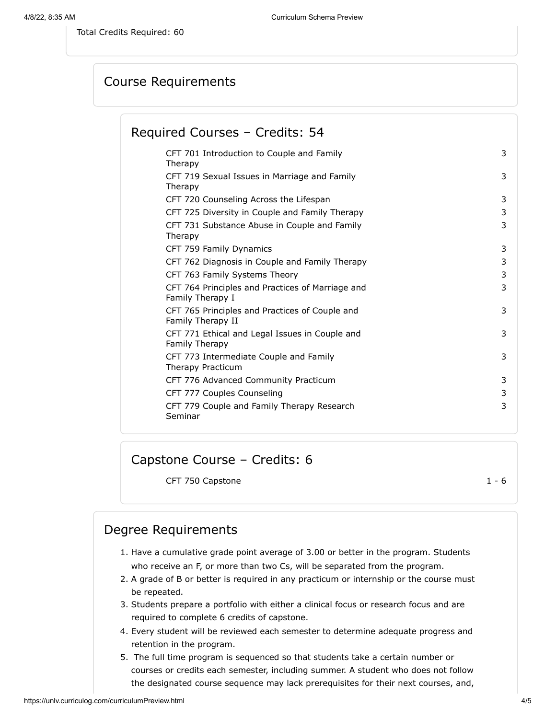<span id="page-3-0"></span>Total Credits Required: 60

Course Requirements

Required Courses – Credits: 54

| CFT 701 Introduction to Couple and Family<br>Therapy                 | 3 |
|----------------------------------------------------------------------|---|
| CFT 719 Sexual Issues in Marriage and Family<br>Therapy              | 3 |
| CFT 720 Counseling Across the Lifespan                               | 3 |
| CFT 725 Diversity in Couple and Family Therapy                       | 3 |
| CFT 731 Substance Abuse in Couple and Family<br>Therapy              | 3 |
| CFT 759 Family Dynamics                                              | 3 |
| CFT 762 Diagnosis in Couple and Family Therapy                       | 3 |
| CFT 763 Family Systems Theory                                        | 3 |
| CFT 764 Principles and Practices of Marriage and<br>Family Therapy I | 3 |
| CFT 765 Principles and Practices of Couple and<br>Family Therapy II  | 3 |
| CFT 771 Ethical and Legal Issues in Couple and<br>Family Therapy     | 3 |
| CFT 773 Intermediate Couple and Family<br>Therapy Practicum          | 3 |
| CFT 776 Advanced Community Practicum                                 | 3 |
| CFT 777 Couples Counseling                                           | 3 |
| CFT 779 Couple and Family Therapy Research<br>Seminar                | 3 |
|                                                                      |   |

Capstone Course – Credits: 6

CFT 750 Capstone 1 - 6

### Degree Requirements

- 1. Have a cumulative grade point average of 3.00 or better in the program. Students who receive an F, or more than two Cs, will be separated from the program.
- 2. A grade of B or better is required in any practicum or internship or the course must be repeated.
- 3. Students prepare a portfolio with either a clinical focus or research focus and are required to complete 6 credits of capstone.
- 4. Every student will be reviewed each semester to determine adequate progress and retention in the program.
- 5. The full time program is sequenced so that students take a certain number or courses or credits each semester, including summer. A student who does not follow the designated course sequence may lack prerequisites for their next courses, and,